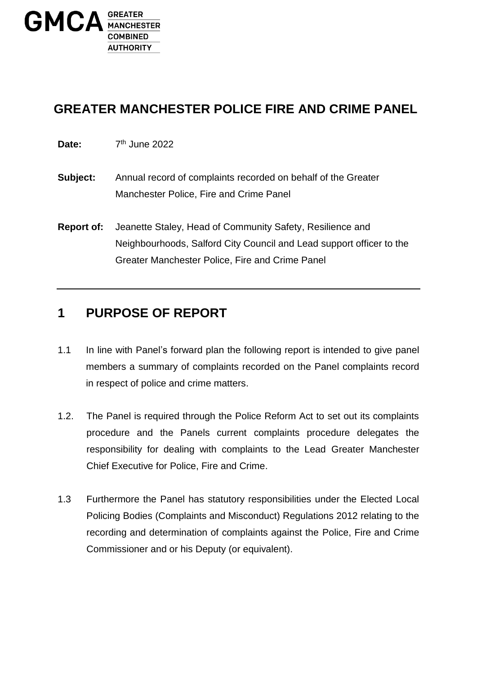

## **GREATER MANCHESTER POLICE FIRE AND CRIME PANEL**

- Date:  $7<sup>th</sup>$  June 2022
- **Subject:** Annual record of complaints recorded on behalf of the Greater Manchester Police, Fire and Crime Panel
- **Report of:** Jeanette Staley, Head of Community Safety, Resilience and Neighbourhoods, Salford City Council and Lead support officer to the Greater Manchester Police, Fire and Crime Panel

### **1 PURPOSE OF REPORT**

- 1.1 In line with Panel's forward plan the following report is intended to give panel members a summary of complaints recorded on the Panel complaints record in respect of police and crime matters.
- 1.2. The Panel is required through the Police Reform Act to set out its complaints procedure and the Panels current complaints procedure delegates the responsibility for dealing with complaints to the Lead Greater Manchester Chief Executive for Police, Fire and Crime.
- 1.3 Furthermore the Panel has statutory responsibilities under the Elected Local Policing Bodies (Complaints and Misconduct) Regulations 2012 relating to the recording and determination of complaints against the Police, Fire and Crime Commissioner and or his Deputy (or equivalent).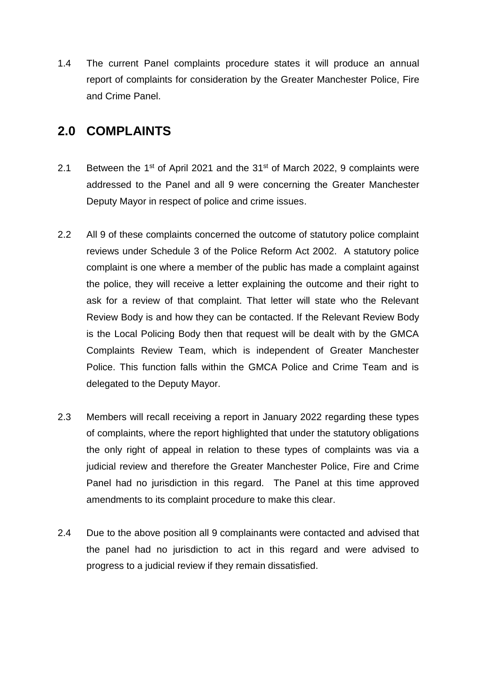1.4 The current Panel complaints procedure states it will produce an annual report of complaints for consideration by the Greater Manchester Police, Fire and Crime Panel.

#### **2.0 COMPLAINTS**

- 2.1 Between the 1<sup>st</sup> of April 2021 and the  $31<sup>st</sup>$  of March 2022, 9 complaints were addressed to the Panel and all 9 were concerning the Greater Manchester Deputy Mayor in respect of police and crime issues.
- 2.2 All 9 of these complaints concerned the outcome of statutory police complaint reviews under Schedule 3 of the Police Reform Act 2002. A statutory police complaint is one where a member of the public has made a complaint against the police, they will receive a letter explaining the outcome and their right to ask for a review of that complaint. That letter will state who the Relevant Review Body is and how they can be contacted. If the Relevant Review Body is the Local Policing Body then that request will be dealt with by the GMCA Complaints Review Team, which is independent of Greater Manchester Police. This function falls within the GMCA Police and Crime Team and is delegated to the Deputy Mayor.
- 2.3 Members will recall receiving a report in January 2022 regarding these types of complaints, where the report highlighted that under the statutory obligations the only right of appeal in relation to these types of complaints was via a judicial review and therefore the Greater Manchester Police, Fire and Crime Panel had no jurisdiction in this regard. The Panel at this time approved amendments to its complaint procedure to make this clear.
- 2.4 Due to the above position all 9 complainants were contacted and advised that the panel had no jurisdiction to act in this regard and were advised to progress to a judicial review if they remain dissatisfied.